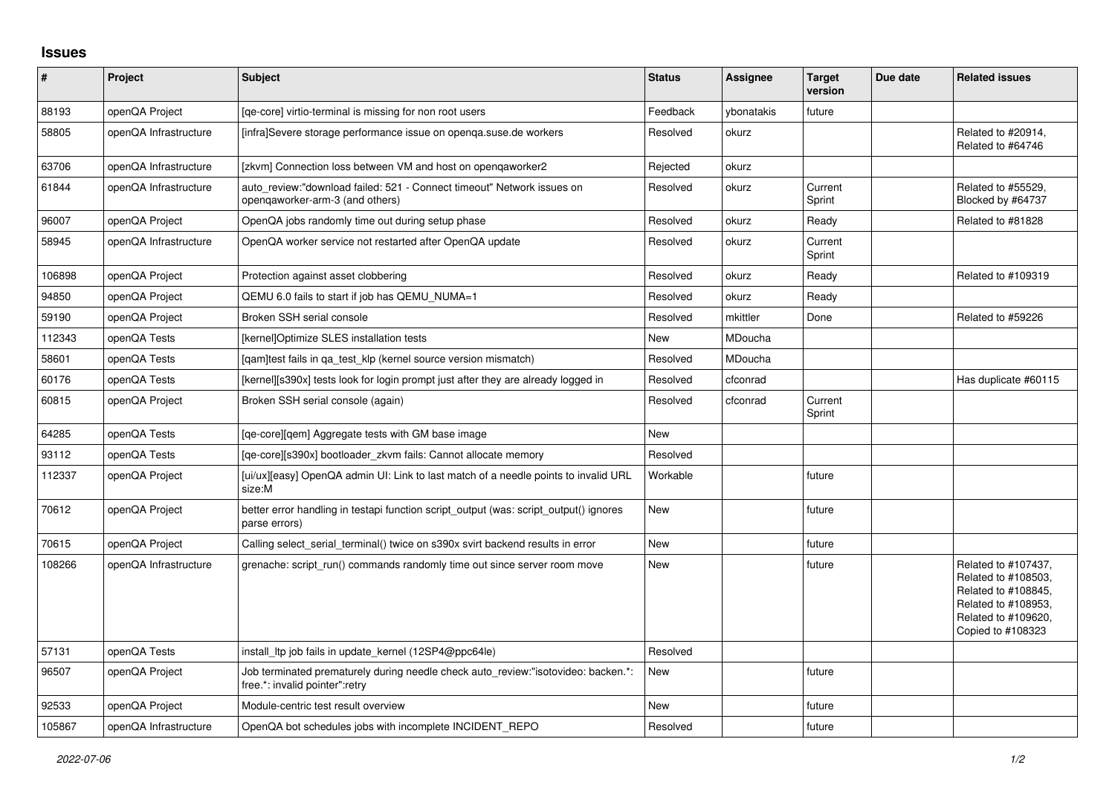## **Issues**

| #      | Project               | <b>Subject</b>                                                                                                      | <b>Status</b> | Assignee   | <b>Target</b><br>version | Due date | <b>Related issues</b>                                                                                                                |
|--------|-----------------------|---------------------------------------------------------------------------------------------------------------------|---------------|------------|--------------------------|----------|--------------------------------------------------------------------------------------------------------------------------------------|
| 88193  | openQA Project        | [qe-core] virtio-terminal is missing for non root users                                                             | Feedback      | ybonatakis | future                   |          |                                                                                                                                      |
| 58805  | openQA Infrastructure | [infra]Severe storage performance issue on openga.suse.de workers                                                   | Resolved      | okurz      |                          |          | Related to #20914,<br>Related to #64746                                                                                              |
| 63706  | openQA Infrastructure | [zkvm] Connection loss between VM and host on opengaworker2                                                         | Rejected      | okurz      |                          |          |                                                                                                                                      |
| 61844  | openQA Infrastructure | auto review:"download failed: 521 - Connect timeout" Network issues on<br>opengaworker-arm-3 (and others)           | Resolved      | okurz      | Current<br>Sprint        |          | Related to #55529.<br>Blocked by #64737                                                                                              |
| 96007  | openQA Project        | OpenQA jobs randomly time out during setup phase                                                                    | Resolved      | okurz      | Ready                    |          | Related to #81828                                                                                                                    |
| 58945  | openQA Infrastructure | OpenQA worker service not restarted after OpenQA update                                                             | Resolved      | okurz      | Current<br>Sprint        |          |                                                                                                                                      |
| 106898 | openQA Project        | Protection against asset clobbering                                                                                 | Resolved      | okurz      | Ready                    |          | Related to #109319                                                                                                                   |
| 94850  | openQA Project        | QEMU 6.0 fails to start if job has QEMU NUMA=1                                                                      | Resolved      | okurz      | Ready                    |          |                                                                                                                                      |
| 59190  | openQA Project        | Broken SSH serial console                                                                                           | Resolved      | mkittler   | Done                     |          | Related to #59226                                                                                                                    |
| 112343 | openQA Tests          | [kernel]Optimize SLES installation tests                                                                            | New           | MDoucha    |                          |          |                                                                                                                                      |
| 58601  | openQA Tests          | [gam]test fails in ga test klp (kernel source version mismatch)                                                     | Resolved      | MDoucha    |                          |          |                                                                                                                                      |
| 60176  | openQA Tests          | [kernel][s390x] tests look for login prompt just after they are already logged in                                   | Resolved      | cfconrad   |                          |          | Has duplicate #60115                                                                                                                 |
| 60815  | openQA Project        | Broken SSH serial console (again)                                                                                   | Resolved      | cfconrad   | Current<br>Sprint        |          |                                                                                                                                      |
| 64285  | openQA Tests          | [qe-core][qem] Aggregate tests with GM base image                                                                   | New           |            |                          |          |                                                                                                                                      |
| 93112  | openQA Tests          | [ge-core][s390x] bootloader zkvm fails: Cannot allocate memory                                                      | Resolved      |            |                          |          |                                                                                                                                      |
| 112337 | openQA Project        | [ui/ux][easy] OpenQA admin UI: Link to last match of a needle points to invalid URL<br>size:M                       | Workable      |            | future                   |          |                                                                                                                                      |
| 70612  | openQA Project        | better error handling in testapi function script output (was: script output() ignores<br>parse errors)              | New           |            | future                   |          |                                                                                                                                      |
| 70615  | openQA Project        | Calling select_serial_terminal() twice on s390x svirt backend results in error                                      | <b>New</b>    |            | future                   |          |                                                                                                                                      |
| 108266 | openQA Infrastructure | grenache: script run() commands randomly time out since server room move                                            | <b>New</b>    |            | future                   |          | Related to #107437,<br>Related to #108503,<br>Related to #108845,<br>Related to #108953,<br>Related to #109620,<br>Copied to #108323 |
| 57131  | openQA Tests          | install Itp job fails in update kernel (12SP4@ppc64le)                                                              | Resolved      |            |                          |          |                                                                                                                                      |
| 96507  | openQA Project        | Job terminated prematurely during needle check auto review:"isotovideo: backen.*:<br>free.*: invalid pointer":retry | <b>New</b>    |            | future                   |          |                                                                                                                                      |
| 92533  | openQA Project        | Module-centric test result overview                                                                                 | New           |            | future                   |          |                                                                                                                                      |
| 105867 | openQA Infrastructure | OpenQA bot schedules jobs with incomplete INCIDENT REPO                                                             | Resolved      |            | future                   |          |                                                                                                                                      |